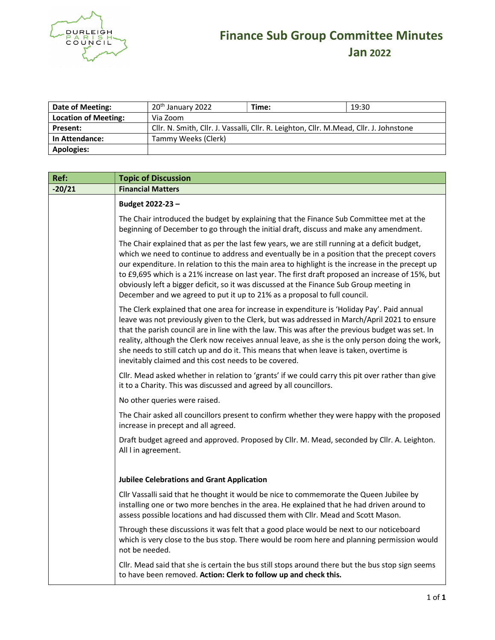

## များ Finance Sub Group Committee Minutes Jan 2022

| Date of Meeting:            | 20 <sup>th</sup> January 2022                                                          | Time: | 19:30 |
|-----------------------------|----------------------------------------------------------------------------------------|-------|-------|
| <b>Location of Meeting:</b> | Via Zoom                                                                               |       |       |
| <b>Present:</b>             | Cllr. N. Smith, Cllr. J. Vassalli, Cllr. R. Leighton, Cllr. M.Mead, Cllr. J. Johnstone |       |       |
| In Attendance:              | Tammy Weeks (Clerk)                                                                    |       |       |
| <b>Apologies:</b>           |                                                                                        |       |       |

| Ref:     | <b>Topic of Discussion</b>                                                                                                                                                                                                                                                                                                                                                                                                                                                                                                                                                      |  |  |
|----------|---------------------------------------------------------------------------------------------------------------------------------------------------------------------------------------------------------------------------------------------------------------------------------------------------------------------------------------------------------------------------------------------------------------------------------------------------------------------------------------------------------------------------------------------------------------------------------|--|--|
| $-20/21$ | <b>Financial Matters</b>                                                                                                                                                                                                                                                                                                                                                                                                                                                                                                                                                        |  |  |
|          | Budget 2022-23-                                                                                                                                                                                                                                                                                                                                                                                                                                                                                                                                                                 |  |  |
|          | The Chair introduced the budget by explaining that the Finance Sub Committee met at the<br>beginning of December to go through the initial draft, discuss and make any amendment.                                                                                                                                                                                                                                                                                                                                                                                               |  |  |
|          | The Chair explained that as per the last few years, we are still running at a deficit budget,<br>which we need to continue to address and eventually be in a position that the precept covers<br>our expenditure. In relation to this the main area to highlight is the increase in the precept up<br>to £9,695 which is a 21% increase on last year. The first draft proposed an increase of 15%, but<br>obviously left a bigger deficit, so it was discussed at the Finance Sub Group meeting in<br>December and we agreed to put it up to 21% as a proposal to full council. |  |  |
|          | The Clerk explained that one area for increase in expenditure is 'Holiday Pay'. Paid annual<br>leave was not previously given to the Clerk, but was addressed in March/April 2021 to ensure<br>that the parish council are in line with the law. This was after the previous budget was set. In<br>reality, although the Clerk now receives annual leave, as she is the only person doing the work,<br>she needs to still catch up and do it. This means that when leave is taken, overtime is<br>inevitably claimed and this cost needs to be covered.                         |  |  |
|          | Cllr. Mead asked whether in relation to 'grants' if we could carry this pit over rather than give<br>it to a Charity. This was discussed and agreed by all councillors.                                                                                                                                                                                                                                                                                                                                                                                                         |  |  |
|          | No other queries were raised.                                                                                                                                                                                                                                                                                                                                                                                                                                                                                                                                                   |  |  |
|          | The Chair asked all councillors present to confirm whether they were happy with the proposed<br>increase in precept and all agreed.                                                                                                                                                                                                                                                                                                                                                                                                                                             |  |  |
|          | Draft budget agreed and approved. Proposed by Cllr. M. Mead, seconded by Cllr. A. Leighton.<br>All I in agreement.                                                                                                                                                                                                                                                                                                                                                                                                                                                              |  |  |
|          | <b>Jubilee Celebrations and Grant Application</b>                                                                                                                                                                                                                                                                                                                                                                                                                                                                                                                               |  |  |
|          | Cllr Vassalli said that he thought it would be nice to commemorate the Queen Jubilee by<br>installing one or two more benches in the area. He explained that he had driven around to<br>assess possible locations and had discussed them with Cllr. Mead and Scott Mason.                                                                                                                                                                                                                                                                                                       |  |  |
|          | Through these discussions it was felt that a good place would be next to our noticeboard<br>which is very close to the bus stop. There would be room here and planning permission would<br>not be needed.                                                                                                                                                                                                                                                                                                                                                                       |  |  |
|          | Cllr. Mead said that she is certain the bus still stops around there but the bus stop sign seems<br>to have been removed. Action: Clerk to follow up and check this.                                                                                                                                                                                                                                                                                                                                                                                                            |  |  |